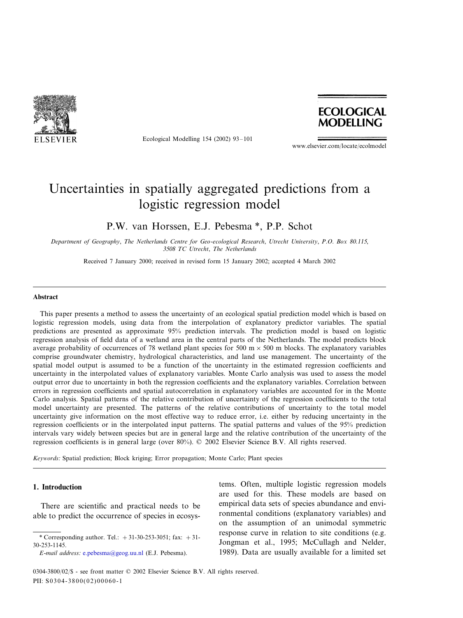

Ecological Modelling 154 (2002) 93–101



www.elsevier.com/locate/ecolmodel

# Uncertainties in spatially aggregated predictions from a logistic regression model

P.W. van Horssen, E.J. Pebesma \*, P.P. Schot

*Department of Geography*, *The Netherlands Centre for Geo*-*ecological Research*, *Utrecht Uniersity*, *P*.*O*. *Box* <sup>80</sup>.115, 3508 *TC Utrecht*, *The Netherlands*

Received 7 January 2000; received in revised form 15 January 2002; accepted 4 March 2002

#### **Abstract**

This paper presents a method to assess the uncertainty of an ecological spatial prediction model which is based on logistic regression models, using data from the interpolation of explanatory predictor variables. The spatial predictions are presented as approximate 95% prediction intervals. The prediction model is based on logistic regression analysis of field data of a wetland area in the central parts of the Netherlands. The model predicts block average probability of occurrences of 78 wetland plant species for 500 m  $\times$  500 m blocks. The explanatory variables comprise groundwater chemistry, hydrological characteristics, and land use management. The uncertainty of the spatial model output is assumed to be a function of the uncertainty in the estimated regression coefficients and uncertainty in the interpolated values of explanatory variables. Monte Carlo analysis was used to assess the model output error due to uncertainty in both the regression coefficients and the explanatory variables. Correlation between errors in regression coefficients and spatial autocorrelation in explanatory variables are accounted for in the Monte Carlo analysis. Spatial patterns of the relative contribution of uncertainty of the regression coefficients to the total model uncertainty are presented. The patterns of the relative contributions of uncertainty to the total model uncertainty give information on the most effective way to reduce error, i.e. either by reducing uncertainty in the regression coefficients or in the interpolated input patterns. The spatial patterns and values of the 95% prediction intervals vary widely between species but are in general large and the relative contribution of the uncertainty of the regression coefficients is in general large (over 80%). © 2002 Elsevier Science B.V. All rights reserved.

*Keywords*: Spatial prediction; Block kriging; Error propagation; Monte Carlo; Plant species

### **1. Introduction**

There are scientific and practical needs to be able to predict the occurrence of species in ecosystems. Often, multiple logistic regression models are used for this. These models are based on empirical data sets of species abundance and environmental conditions (explanatory variables) and on the assumption of an unimodal symmetric response curve in relation to site conditions (e.g. Jongman et al., 1995; McCullagh and Nelder, 1989). Data are usually available for a limited set

<sup>\*</sup> Corresponding author. Tel.:  $+31-30-253-3051$ ; fax:  $+31-$ 30-253-1145.

*E*-*mail address*: [e.pebesma@geog.uu.nl](mailto:e.pebesma@geog.uu.nl) (E.J. Pebesma).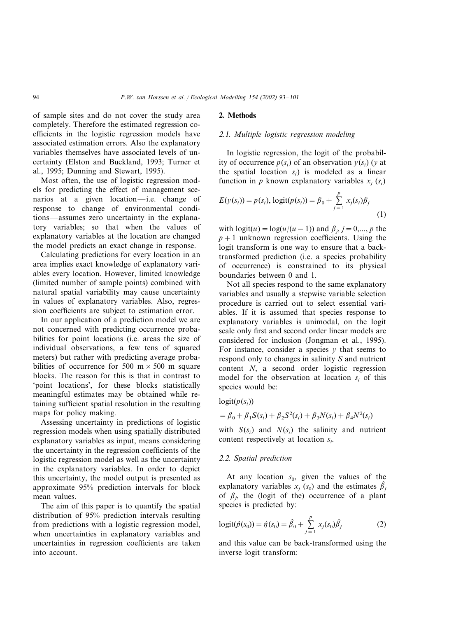of sample sites and do not cover the study area completely. Therefore the estimated regression coefficients in the logistic regression models have associated estimation errors. Also the explanatory variables themselves have associated levels of uncertainty (Elston and Buckland, 1993; Turner et al., 1995; Dunning and Stewart, 1995).

Most often, the use of logistic regression models for predicting the effect of management scenarios at a given location—i.e. change of response to change of environmental conditions—assumes zero uncertainty in the explanatory variables; so that when the values of explanatory variables at the location are changed the model predicts an exact change in response.

Calculating predictions for every location in an area implies exact knowledge of explanatory variables every location. However, limited knowledge (limited number of sample points) combined with natural spatial variability may cause uncertainty in values of explanatory variables. Also, regression coefficients are subject to estimation error.

In our application of a prediction model we are not concerned with predicting occurrence probabilities for point locations (i.e. areas the size of individual observations, a few tens of squared meters) but rather with predicting average probabilities of occurrence for 500 m  $\times$  500 m square blocks. The reason for this is that in contrast to 'point locations', for these blocks statistically meaningful estimates may be obtained while retaining sufficient spatial resolution in the resulting maps for policy making.

Assessing uncertainty in predictions of logistic regression models when using spatially distributed explanatory variables as input, means considering the uncertainty in the regression coefficients of the logistic regression model as well as the uncertainty in the explanatory variables. In order to depict this uncertainty, the model output is presented as approximate 95% prediction intervals for block mean values.

The aim of this paper is to quantify the spatial distribution of 95% prediction intervals resulting from predictions with a logistic regression model, when uncertainties in explanatory variables and uncertainties in regression coefficients are taken into account.

## **2. Methods**

## <sup>2</sup>.1. *Multiple logistic regression modeling*

In logistic regression, the logit of the probability of occurrence  $p(s_i)$  of an observation  $y(s_i)$  (*y* at the spatial location *si*) is modeled as a linear function in *p* known explanatory variables  $x_i$  ( $s_i$ )

$$
E(y(s_i)) = p(s_i), \text{logit}(p(s_i)) = \beta_0 + \sum_{j=1}^p x_j(s_i)\beta_j
$$
\n(1)

with  $logit(u) = log(u/(u-1))$  and  $\beta_j$ ,  $j = 0,..., p$  the  $p+1$  unknown regression coefficients. Using the logit transform is one way to ensure that a backtransformed prediction (i.e. a species probability of occurrence) is constrained to its physical boundaries between 0 and 1.

Not all species respond to the same explanatory variables and usually a stepwise variable selection procedure is carried out to select essential variables. If it is assumed that species response to explanatory variables is unimodal, on the logit scale only first and second order linear models are considered for inclusion (Jongman et al., 1995). For instance, consider a species  $y$  that seems to respond only to changes in salinity *S* and nutrient content *N*, a second order logistic regression model for the observation at location  $s_i$  of this species would be:

## $logit(p(s_i))$

$$
= \beta_0 + \beta_1 S(s_i) + \beta_2 S^2(s_i) + \beta_3 N(s_i) + \beta_4 N^2(s_i)
$$

with  $S(s_i)$  and  $N(s_i)$  the salinity and nutrient content respectively at location *si* .

#### <sup>2</sup>.2. *Spatial prediction*

At any location  $s_0$ , given the values of the explanatory variables  $x_j$  ( $s_0$ ) and the estimates  $\hat{\beta}_j$ of  $\beta_j$ , the (logit of the) occurrence of a plant species is predicted by:

$$
logit(\hat{p}(s_0)) = \hat{\eta}(s_0) = \hat{\beta}_0 + \sum_{j=1}^p x_j(s_0)\hat{\beta}_j
$$
 (2)

and this value can be back-transformed using the inverse logit transform: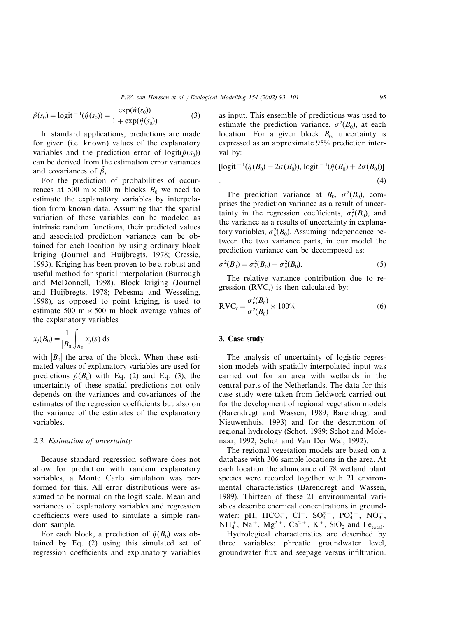$$
\hat{p}(s_0) = \text{logit}^{-1}(\hat{\eta}(s_0)) = \frac{\exp(\hat{\eta}(s_0))}{1 + \exp(\hat{\eta}(s_0))}
$$
(3)

In standard applications, predictions are made for given (i.e. known) values of the explanatory variables and the prediction error of  $logit(\hat{p}(s_0))$ can be derived from the estimation error variances and covariances of  $\hat{\beta}_j$ .

For the prediction of probabilities of occurrences at 500 m  $\times$  500 m blocks  $B_0$  we need to estimate the explanatory variables by interpolation from known data. Assuming that the spatial variation of these variables can be modeled as intrinsic random functions, their predicted values and associated prediction variances can be obtained for each location by using ordinary block kriging (Journel and Huijbregts, 1978; Cressie, 1993). Kriging has been proven to be a robust and useful method for spatial interpolation (Burrough and McDonnell, 1998). Block kriging (Journel and Huijbregts, 1978; Pebesma and Wesseling, 1998), as opposed to point kriging, is used to estimate 500 m  $\times$  500 m block average values of the explanatory variables

$$
x_j(B_0) = \frac{1}{|B_0|} \int_{B_0} x_j(s) \, ds
$$

with  $|B_0|$  the area of the block. When these estimated values of explanatory variables are used for predictions  $\hat{p}(B_0)$  with Eq. (2) and Eq. (3), the uncertainty of these spatial predictions not only depends on the variances and covariances of the estimates of the regression coefficients but also on the variance of the estimates of the explanatory variables.

# <sup>2</sup>.3. *Estimation of uncertainty*

Because standard regression software does not allow for prediction with random explanatory variables, a Monte Carlo simulation was performed for this. All error distributions were assumed to be normal on the logit scale. Mean and variances of explanatory variables and regression coefficients were used to simulate a simple random sample.

For each block, a prediction of  $\hat{\eta}(B_0)$  was obtained by Eq. (2) using this simulated set of regression coefficients and explanatory variables

as input. This ensemble of predictions was used to estimate the prediction variance,  $\sigma^2(B_0)$ , at each location. For a given block  $B_0$ , uncertainty is expressed as an approximate 95% prediction interval by:

$$
[logit^{-1}(\hat{\eta}(B_0) - 2\sigma(B_0)), logit^{-1}(\hat{\eta}(B_0) + 2\sigma(B_0))]
$$
  
. (4)

The prediction variance at  $B_0$ ,  $\sigma^2(B_0)$ , comprises the prediction variance as a result of uncertainty in the regression coefficients,  $\sigma_r^2(B_0)$ , and the variance as a results of uncertainty in explanatory variables,  $\sigma_e^2(B_0)$ . Assuming independence between the two variance parts, in our model the prediction variance can be decomposed as:

$$
\sigma^{2}(B_{0}) = \sigma_{r}^{2}(B_{0}) + \sigma_{e}^{2}(B_{0}).
$$
\n(5)

The relative variance contribution due to regression  $(RVC_r)$  is then calculated by:

$$
RVC_r = \frac{\sigma_r^2(B_0)}{\sigma^2(B_0)} \times 100\%
$$
\n
$$
\tag{6}
$$

### **3. Case study**

The analysis of uncertainty of logistic regression models with spatially interpolated input was carried out for an area with wetlands in the central parts of the Netherlands. The data for this case study were taken from fieldwork carried out for the development of regional vegetation models (Barendregt and Wassen, 1989; Barendregt and Nieuwenhuis, 1993) and for the description of regional hydrology (Schot, 1989; Schot and Molenaar, 1992; Schot and Van Der Wal, 1992).

The regional vegetation models are based on a database with 306 sample locations in the area. At each location the abundance of 78 wetland plant species were recorded together with 21 environmental characteristics (Barendregt and Wassen, 1989). Thirteen of these 21 environmental variables describe chemical concentrations in groundwater: pH,  $HCO_3^-$ , Cl<sup>-</sup>, SO<sub>4</sub><sup>2-</sup>, PO<sub>4</sub><sup>3-</sup>, NO<sub>3</sub>,  $NH_4^+$ , Na<sup>+</sup>, Mg<sup>2+</sup>, Ca<sup>2+</sup>, K<sup>+</sup>, SiO<sub>2</sub> and Fe<sub>total</sub>.

Hydrological characteristics are described by three variables: phreatic groundwater level, groundwater flux and seepage versus infiltration.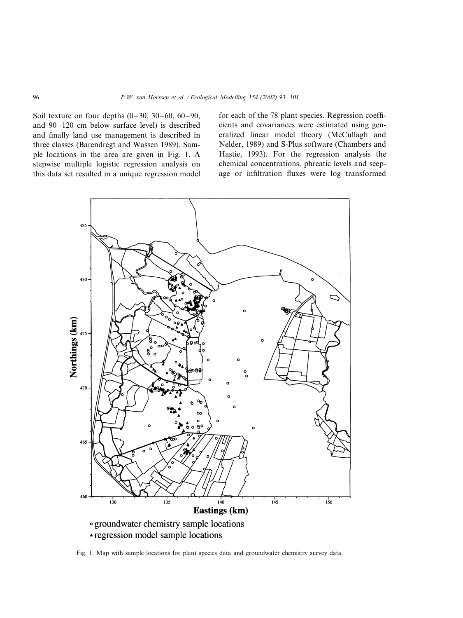Soil texture on four depths  $(0-30, 30-60, 60-90, 60)$ and 90–120 cm below surface level) is described and finally land use management is described in three classes (Barendregt and Wassen 1989). Sample locations in the area are given in Fig. 1. A stepwise multiple logistic regression analysis on this data set resulted in a unique regression model

for each of the 78 plant species. Regression coefficients and covariances were estimated using generalized linear model theory (McCullagh and Nelder, 1989) and S-Plus software (Chambers and Hastie, 1993). For the regression analysis the chemical concentrations, phreatic levels and seepage or infiltration fluxes were log transformed



Fig. 1. Map with sample locations for plant species data and groundwater chemistry survey data.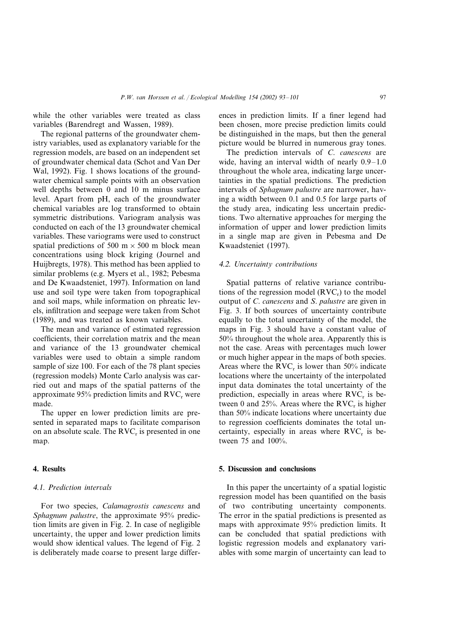while the other variables were treated as class variables (Barendregt and Wassen, 1989).

The regional patterns of the groundwater chemistry variables, used as explanatory variable for the regression models, are based on an independent set of groundwater chemical data (Schot and Van Der Wal, 1992). Fig. 1 shows locations of the groundwater chemical sample points with an observation well depths between 0 and 10 m minus surface level. Apart from pH, each of the groundwater chemical variables are log transformed to obtain symmetric distributions. Variogram analysis was conducted on each of the 13 groundwater chemical variables. These variograms were used to construct spatial predictions of 500 m  $\times$  500 m block mean concentrations using block kriging (Journel and Huijbregts, 1978). This method has been applied to similar problems (e.g. Myers et al., 1982; Pebesma and De Kwaadsteniet, 1997). Information on land use and soil type were taken from topographical and soil maps, while information on phreatic levels, infiltration and seepage were taken from Schot (1989), and was treated as known variables.

The mean and variance of estimated regression coefficients, their correlation matrix and the mean and variance of the 13 groundwater chemical variables were used to obtain a simple random sample of size 100. For each of the 78 plant species (regression models) Monte Carlo analysis was carried out and maps of the spatial patterns of the approximate 95% prediction limits and  $\text{RVC}_r$  were made.

The upper en lower prediction limits are presented in separated maps to facilitate comparison on an absolute scale. The  $RVC<sub>r</sub>$  is presented in one map.

## **4. Results**

### <sup>4</sup>.1. *Prediction interals*

For two species, *Calamagrostis canescens* and *Sphagnum palustre*, the approximate 95% prediction limits are given in Fig. 2. In case of negligible uncertainty, the upper and lower prediction limits would show identical values. The legend of Fig. 2 is deliberately made coarse to present large differences in prediction limits. If a finer legend had been chosen, more precise prediction limits could be distinguished in the maps, but then the general picture would be blurred in numerous gray tones.

The prediction intervals of *C*. *canescens* are wide, having an interval width of nearly 0.9–1.0 throughout the whole area, indicating large uncertainties in the spatial predictions. The prediction intervals of *Sphagnum palustre* are narrower, having a width between 0.1 and 0.5 for large parts of the study area, indicating less uncertain predictions. Two alternative approaches for merging the information of upper and lower prediction limits in a single map are given in Pebesma and De Kwaadsteniet (1997).

## <sup>4</sup>.2. *Uncertainty contributions*

Spatial patterns of relative variance contributions of the regression model  $(RVC_r)$  to the model output of *C*. *canescens* and *S*. *palustre* are given in Fig. 3. If both sources of uncertainty contribute equally to the total uncertainty of the model, the maps in Fig. 3 should have a constant value of 50% throughout the whole area. Apparently this is not the case. Areas with percentages much lower or much higher appear in the maps of both species. Areas where the RVC<sub>r</sub> is lower than  $50\%$  indicate locations where the uncertainty of the interpolated input data dominates the total uncertainty of the prediction, especially in areas where  $RVC<sub>r</sub>$  is between 0 and 25%. Areas where the  $RVC<sub>r</sub>$  is higher than 50% indicate locations where uncertainty due to regression coefficients dominates the total uncertainty, especially in areas where  $RVC<sub>r</sub>$  is between 75 and 100%.

#### **5. Discussion and conclusions**

In this paper the uncertainty of a spatial logistic regression model has been quantified on the basis of two contributing uncertainty components. The error in the spatial predictions is presented as maps with approximate 95% prediction limits. It can be concluded that spatial predictions with logistic regression models and explanatory variables with some margin of uncertainty can lead to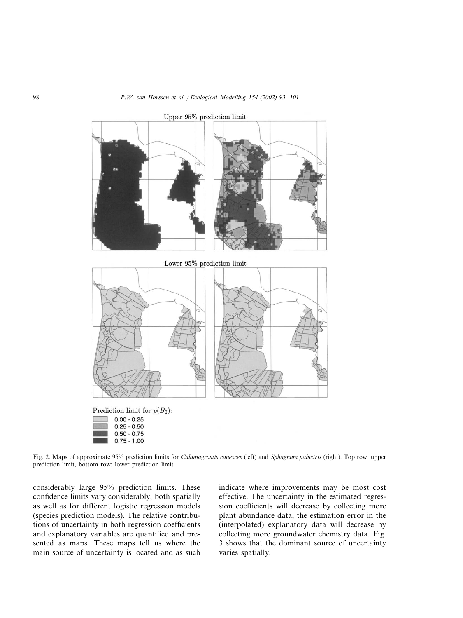

Upper 95% prediction limit

Fig. 2. Maps of approximate 95% prediction limits for *Calamagrostis canesces* (left) and *Sphagnum palustris* (right). Top row: upper prediction limit, bottom row: lower prediction limit.

considerably large 95% prediction limits. These confidence limits vary considerably, both spatially as well as for different logistic regression models (species prediction models). The relative contributions of uncertainty in both regression coefficients and explanatory variables are quantified and presented as maps. These maps tell us where the main source of uncertainty is located and as such

 $0.75 - 1.00$ 

indicate where improvements may be most cost effective. The uncertainty in the estimated regression coefficients will decrease by collecting more plant abundance data; the estimation error in the (interpolated) explanatory data will decrease by collecting more groundwater chemistry data. Fig. 3 shows that the dominant source of uncertainty varies spatially.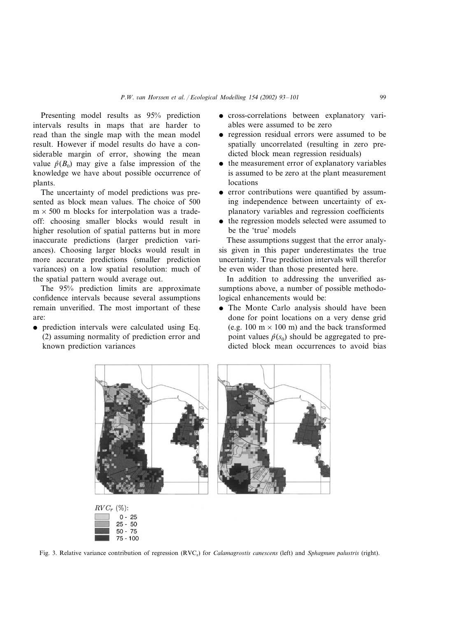Presenting model results as 95% prediction intervals results in maps that are harder to read than the single map with the mean model result. However if model results do have a considerable margin of error, showing the mean value  $\hat{p}(B_0)$  may give a false impression of the knowledge we have about possible occurrence of plants.

The uncertainty of model predictions was presented as block mean values. The choice of 500  $m \times 500$  m blocks for interpolation was a tradeoff: choosing smaller blocks would result in higher resolution of spatial patterns but in more inaccurate predictions (larger prediction variances). Choosing larger blocks would result in more accurate predictions (smaller prediction variances) on a low spatial resolution: much of the spatial pattern would average out.

The 95% prediction limits are approximate confidence intervals because several assumptions remain unverified. The most important of these are:

 prediction intervals were calculated using Eq. (2) assuming normality of prediction error and known prediction variances

> $50 - 75$  $75 - 100$

- cross-correlations between explanatory variables were assumed to be zero
- regression residual errors were assumed to be spatially uncorrelated (resulting in zero predicted block mean regression residuals)
- the measurement error of explanatory variables is assumed to be zero at the plant measurement locations
- error contributions were quantified by assuming independence between uncertainty of explanatory variables and regression coefficients
- the regression models selected were assumed to be the 'true' models

These assumptions suggest that the error analysis given in this paper underestimates the true uncertainty. True prediction intervals will therefor be even wider than those presented here.

In addition to addressing the unverified assumptions above, a number of possible methodological enhancements would be:

 The Monte Carlo analysis should have been done for point locations on a very dense grid (e.g. 100 m  $\times$  100 m) and the back transformed point values  $\hat{p}(s_0)$  should be aggregated to predicted block mean occurrences to avoid bias



Fig. 3. Relative variance contribution of regression (RVC<sub>r</sub>) for *Calamagrostis canescens* (left) and *Sphagnum palustris* (right).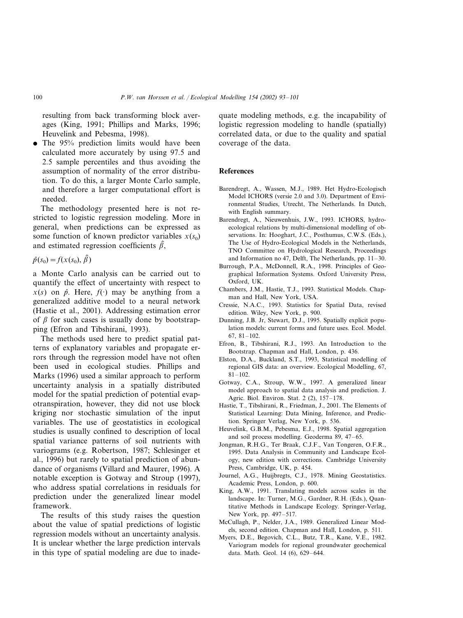resulting from back transforming block averages (King, 1991; Phillips and Marks, 1996; Heuvelink and Pebesma, 1998).

• The 95% prediction limits would have been calculated more accurately by using 97.5 and 2.5 sample percentiles and thus avoiding the assumption of normality of the error distribution. To do this, a larger Monte Carlo sample, and therefore a larger computational effort is needed.

The methodology presented here is not restricted to logistic regression modeling. More in general, when predictions can be expressed as some function of known predictor variables  $x(s_0)$ and estimated regression coefficients  $\hat{\beta}$ ,

 $\hat{p}(s_0) = f(x(s_0), \hat{\beta})$ 

a Monte Carlo analysis can be carried out to quantify the effect of uncertainty with respect to  $x(s)$  on  $\hat{p}$ . Here,  $f(\cdot)$  may be anything from a generalized additive model to a neural network (Hastie et al., 2001). Addressing estimation error of  $\beta$  for such cases is usually done by bootstrapping (Efron and Tibshirani, 1993).

The methods used here to predict spatial patterns of explanatory variables and propagate errors through the regression model have not often been used in ecological studies. Phillips and Marks (1996) used a similar approach to perform uncertainty analysis in a spatially distributed model for the spatial prediction of potential evapotranspiration, however, they did not use block kriging nor stochastic simulation of the input variables. The use of geostatistics in ecological studies is usually confined to description of local spatial variance patterns of soil nutrients with variograms (e.g. Robertson, 1987; Schlesinger et al., 1996) but rarely to spatial prediction of abundance of organisms (Villard and Maurer, 1996). A notable exception is Gotway and Stroup (1997), who address spatial correlations in residuals for prediction under the generalized linear model framework.

The results of this study raises the question about the value of spatial predictions of logistic regression models without an uncertainty analysis. It is unclear whether the large prediction intervals in this type of spatial modeling are due to inadequate modeling methods, e.g. the incapability of logistic regression modeling to handle (spatially) correlated data, or due to the quality and spatial coverage of the data.

## **References**

- Barendregt, A., Wassen, M.J., 1989. Het Hydro-Ecologisch Model ICHORS (versie 2.0 and 3.0). Department of Environmental Studies, Utrecht, The Netherlands. In Dutch, with English summary.
- Barendregt, A., Nieuwenhuis, J.W., 1993. ICHORS, hydroecological relations by multi-dimensional modelling of observations. In: Hooghart, J.C., Posthumus, C.W.S. (Eds.), The Use of Hydro-Ecological Models in the Netherlands, TNO Committee on Hydrological Research, Proceedings and Information no 47, Delft, The Netherlands, pp. 11–30.
- Burrough, P.A., McDonnell, R.A., 1998. Principles of Geographical Information Systems. Oxford University Press, Oxford, UK.
- Chambers, J.M., Hastie, T.J., 1993. Statistical Models. Chapman and Hall, New York, USA.
- Cressie, N.A.C., 1993. Statistics for Spatial Data, revised edition. Wiley, New York, p. 900.
- Dunning, J.B. Jr, Stewart, D.J., 1995. Spatially explicit population models: current forms and future uses. Ecol. Model. 67, 81–102.
- Efron, B., Tibshirani, R.J., 1993. An Introduction to the Bootstrap. Chapman and Hall, London, p. 436.
- Elston, D.A., Buckland, S.T., 1993, Statistical modelling of regional GIS data: an overview. Ecological Modelling, 67, 81–102.
- Gotway, C.A., Stroup, W.W., 1997. A generalized linear model approach to spatial data analysis and prediction. J. Agric. Biol. Environ. Stat. 2 (2), 157–178.
- Hastie, T., Tibshirani, R., Friedman, J., 2001. The Elements of Statistical Learning: Data Mining, Inference, and Prediction. Springer Verlag, New York, p. 536.
- Heuvelink, G.B.M., Pebesma, E.J., 1998. Spatial aggregation and soil process modelling. Geoderma 89, 47–65.
- Jongman, R.H.G., Ter Braak, C.J.F., Van Tongeren, O.F.R., 1995. Data Analysis in Community and Landscape Ecology, new edition with corrections. Cambridge University Press, Cambridge, UK, p. 454.
- Journel, A.G., Huijbregts, C.J., 1978. Mining Geostatistics. Academic Press, London, p. 600.
- King, A.W., 1991. Translating models across scales in the landscape. In: Turner, M.G., Gardner, R.H. (Eds.), Quantitative Methods in Landscape Ecology. Springer-Verlag, New York, pp. 497–517.
- McCullagh, P., Nelder, J.A., 1989. Generalized Linear Models, second edition. Chapman and Hall, London, p. 511.
- Myers, D.E., Begovich, C.L., Butz, T.R., Kane, V.E., 1982. Variogram models for regional groundwater geochemical data. Math. Geol. 14 (6), 629–644.